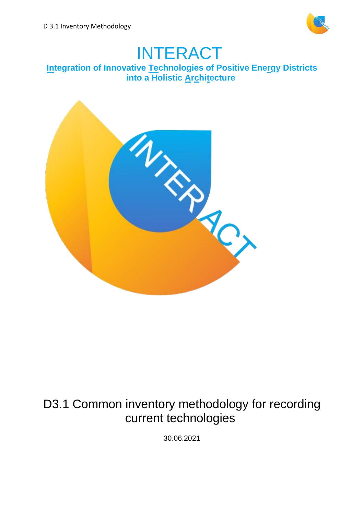

# INTERACT

# **Integration of Innovative Technologies of Positive Energy Districts into a Holistic Architecture**



# D3.1 Common inventory methodology for recording current technologies

30.06.2021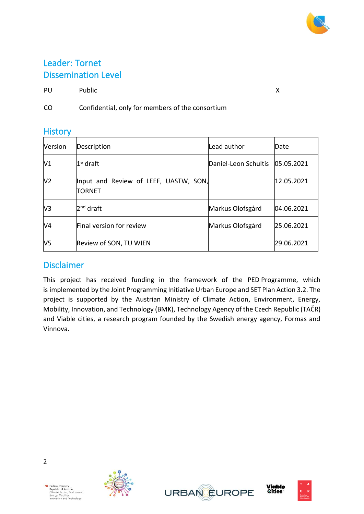# Leader: Tornet Dissemination Level

PU Public X

CO Confidential, only for members of the consortium

# **History**

| Version        | Description                                            | Lead author                     | Date       |
|----------------|--------------------------------------------------------|---------------------------------|------------|
| V1             | $1st$ draft                                            | Daniel-Leon Schultis 05.05.2021 |            |
| V <sub>2</sub> | Input and Review of LEEF, UASTW, SON,<br><b>TORNET</b> |                                 | 12.05.2021 |
| V3             | 2 <sup>nd</sup> draft                                  | Markus Olofsgård                | 04.06.2021 |
| V4             | Final version for review                               | Markus Olofsgård                | 25.06.2021 |
| V5             | Review of SON, TU WIEN                                 |                                 | 29.06.2021 |

# Disclaimer

This project has received funding in the framework of the PED Programme, which is implemented by the Joint Programming Initiative Urban Europe and SET Plan Action 3.2. The project is supported by the Austrian Ministry of Climate Action, Environment, Energy, Mobility, Innovation, and Technology (BMK), Technology Agency of the Czech Republic (TAČR) and Viable cities, a research program founded by the Swedish energy agency, Formas and Vinnova.





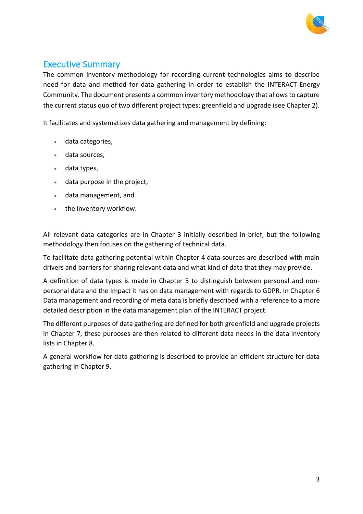

# Executive Summary

The common inventory methodology for recording current technologies aims to describe need for data and method for data gathering in order to establish the INTERACT-Energy Community. The document presents a common inventory methodology that allows to capture the current status quo of two different project types: greenfield and upgrade (see Chapter 2).

It facilitates and systematizes data gathering and management by defining:

- data categories,
- data sources,
- data types,
- data purpose in the project,
- data management, and
- the inventory workflow.

All relevant data categories are in Chapter 3 initially described in brief, but the following methodology then focuses on the gathering of technical data.

To facilitate data gathering potential within Chapter 4 data sources are described with main drivers and barriers for sharing relevant data and what kind of data that they may provide.

A definition of data types is made in Chapter 5 to distinguish between personal and nonpersonal data and the Impact it has on data management with regards to GDPR. In Chapter 6 Data management and recording of meta data is briefly described with a reference to a more detailed description in the data management plan of the INTERACT project.

The different purposes of data gathering are defined for both greenfield and upgrade projects in Chapter 7, these purposes are then related to different data needs in the data inventory lists in Chapter 8.

A general workflow for data gathering is described to provide an efficient structure for data gathering in Chapter 9.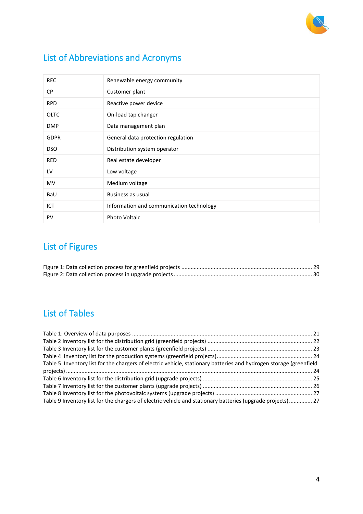

# List of Abbreviations and Acronyms

| <b>REC</b>  | Renewable energy community               |
|-------------|------------------------------------------|
| <b>CP</b>   | Customer plant                           |
| <b>RPD</b>  | Reactive power device                    |
| <b>OLTC</b> | On-load tap changer                      |
| <b>DMP</b>  | Data management plan                     |
| <b>GDPR</b> | General data protection regulation       |
| <b>DSO</b>  | Distribution system operator             |
| <b>RED</b>  | Real estate developer                    |
| LV          | Low voltage                              |
| MV          | Medium voltage                           |
| BaU         | Business as usual                        |
| ICT         | Information and communication technology |
| PV          | <b>Photo Voltaic</b>                     |

# <span id="page-3-0"></span>List of Figures

# <span id="page-3-1"></span>List of Tables

| Table 5 Inventory list for the chargers of electric vehicle, stationary batteries and hydrogen storage (greenfield |  |
|--------------------------------------------------------------------------------------------------------------------|--|
|                                                                                                                    |  |
|                                                                                                                    |  |
|                                                                                                                    |  |
|                                                                                                                    |  |
| Table 9 Inventory list for the chargers of electric vehicle and stationary batteries (upgrade projects) 27         |  |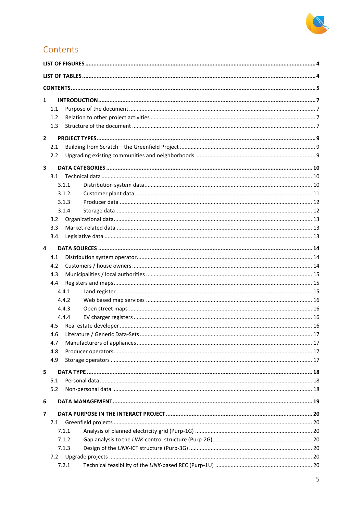

# <span id="page-4-0"></span>Contents

| $\mathbf{1}$ |     |       |  |  |  |
|--------------|-----|-------|--|--|--|
|              | 1.1 |       |  |  |  |
|              | 1.2 |       |  |  |  |
|              | 1.3 |       |  |  |  |
| $\mathbf{2}$ |     |       |  |  |  |
|              | 2.1 |       |  |  |  |
|              | 2.2 |       |  |  |  |
| 3            |     |       |  |  |  |
|              | 3.1 |       |  |  |  |
|              |     | 3.1.1 |  |  |  |
|              |     | 3.1.2 |  |  |  |
|              |     | 3.1.3 |  |  |  |
|              |     | 3.1.4 |  |  |  |
|              | 3.2 |       |  |  |  |
|              | 3.3 |       |  |  |  |
|              | 3.4 |       |  |  |  |
| 4            |     |       |  |  |  |
|              | 4.1 |       |  |  |  |
|              | 4.2 |       |  |  |  |
|              | 4.3 |       |  |  |  |
|              | 4.4 |       |  |  |  |
|              |     | 4.4.1 |  |  |  |
|              |     | 4.4.2 |  |  |  |
|              |     | 4.4.3 |  |  |  |
|              |     | 4.4.4 |  |  |  |
|              | 4.5 |       |  |  |  |
|              |     |       |  |  |  |
|              | 4.7 |       |  |  |  |
|              | 4.8 |       |  |  |  |
|              | 4.9 |       |  |  |  |
| 5            |     |       |  |  |  |
|              | 5.1 |       |  |  |  |
|              | 5.2 |       |  |  |  |
| 6            |     |       |  |  |  |
| 7            |     |       |  |  |  |
|              | 7.1 |       |  |  |  |
|              |     | 7.1.1 |  |  |  |
|              |     | 7.1.2 |  |  |  |
|              |     | 7.1.3 |  |  |  |
|              | 7.2 |       |  |  |  |
|              |     | 7.2.1 |  |  |  |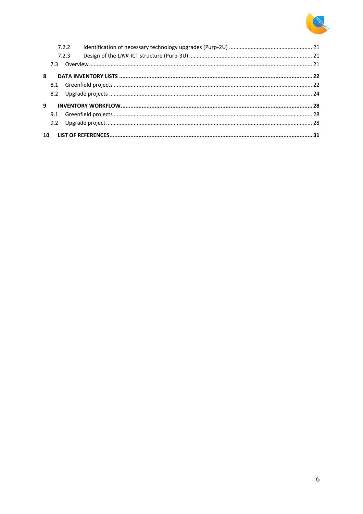

|   | 7.2.2 |  |
|---|-------|--|
|   | 7.2.3 |  |
|   |       |  |
| 8 |       |  |
|   |       |  |
|   |       |  |
| 9 |       |  |
|   |       |  |
|   |       |  |
|   |       |  |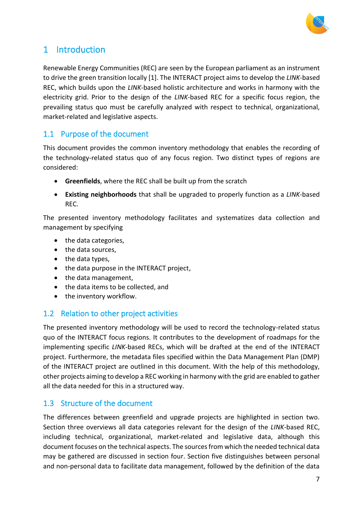

# <span id="page-6-0"></span>1 Introduction

Renewable Energy Communities (REC) are seen by the European parliament as an instrument to drive the green transition locally [1]. The INTERACT project aims to develop the *LINK*-based REC, which builds upon the *LINK*-based holistic architecture and works in harmony with the electricity grid. Prior to the design of the *LINK*-based REC for a specific focus region, the prevailing status quo must be carefully analyzed with respect to technical, organizational, market-related and legislative aspects.

### <span id="page-6-1"></span>1.1 Purpose of the document

This document provides the common inventory methodology that enables the recording of the technology-related status quo of any focus region. Two distinct types of regions are considered:

- **Greenfields**, where the REC shall be built up from the scratch
- **Existing neighborhoods** that shall be upgraded to properly function as a *LINK*-based REC.

The presented inventory methodology facilitates and systematizes data collection and management by specifying

- the data categories,
- the data sources,
- the data types,
- the data purpose in the INTERACT project,
- the data management,
- the data items to be collected, and
- the inventory workflow.

### <span id="page-6-2"></span>1.2 Relation to other project activities

The presented inventory methodology will be used to record the technology-related status quo of the INTERACT focus regions. It contributes to the development of roadmaps for the implementing specific *LINK*-based RECs, which will be drafted at the end of the INTERACT project. Furthermore, the metadata files specified within the Data Management Plan (DMP) of the INTERACT project are outlined in this document. With the help of this methodology, other projects aiming to develop a REC working in harmony with the grid are enabled to gather all the data needed for this in a structured way.

### <span id="page-6-3"></span>1.3 Structure of the document

The differences between greenfield and upgrade projects are highlighted in section two. Section three overviews all data categories relevant for the design of the *LINK*-based REC, including technical, organizational, market-related and legislative data, although this document focuses on the technical aspects. The sources from which the needed technical data may be gathered are discussed in section four. Section five distinguishes between personal and non-personal data to facilitate data management, followed by the definition of the data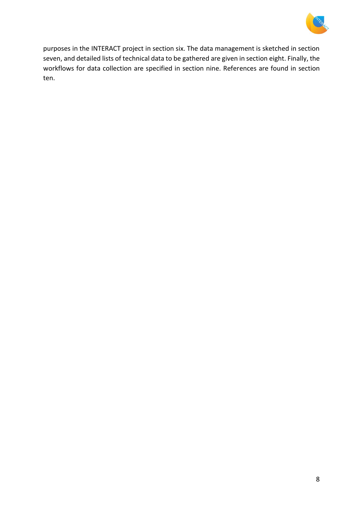

purposes in the INTERACT project in section six. The data management is sketched in section seven, and detailed lists of technical data to be gathered are given in section eight. Finally, the workflows for data collection are specified in section nine. References are found in section ten.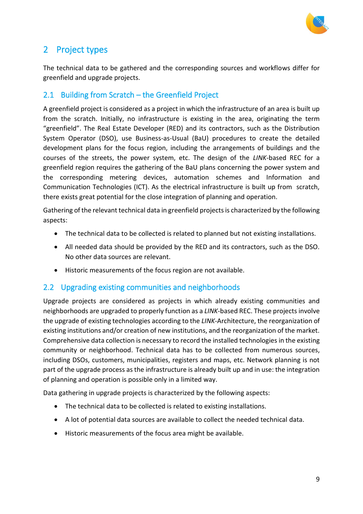

# <span id="page-8-0"></span>2 Project types

The technical data to be gathered and the corresponding sources and workflows differ for greenfield and upgrade projects.

### <span id="page-8-1"></span>2.1 Building from Scratch – the Greenfield Project

A greenfield project is considered as a project in which the infrastructure of an area is built up from the scratch. Initially, no infrastructure is existing in the area, originating the term "greenfield". The Real Estate Developer (RED) and its contractors, such as the Distribution System Operator (DSO), use Business-as-Usual (BaU) procedures to create the detailed development plans for the focus region, including the arrangements of buildings and the courses of the streets, the power system, etc. The design of the *LINK*-based REC for a greenfield region requires the gathering of the BaU plans concerning the power system and the corresponding metering devices, automation schemes and Information and Communication Technologies (ICT). As the electrical infrastructure is built up from scratch, there exists great potential for the close integration of planning and operation.

Gathering of the relevant technical data in greenfield projects is characterized by the following aspects:

- The technical data to be collected is related to planned but not existing installations.
- All needed data should be provided by the RED and its contractors, such as the DSO. No other data sources are relevant.
- Historic measurements of the focus region are not available.

### <span id="page-8-2"></span>2.2 Upgrading existing communities and neighborhoods

Upgrade projects are considered as projects in which already existing communities and neighborhoods are upgraded to properly function as a *LINK*-based REC. These projects involve the upgrade of existing technologies according to the *LINK*-Architecture, the reorganization of existing institutions and/or creation of new institutions, and the reorganization of the market. Comprehensive data collection is necessary to record the installed technologies in the existing community or neighborhood. Technical data has to be collected from numerous sources, including DSOs, customers, municipalities, registers and maps, etc. Network planning is not part of the upgrade process as the infrastructure is already built up and in use: the integration of planning and operation is possible only in a limited way.

Data gathering in upgrade projects is characterized by the following aspects:

- The technical data to be collected is related to existing installations.
- A lot of potential data sources are available to collect the needed technical data.
- Historic measurements of the focus area might be available.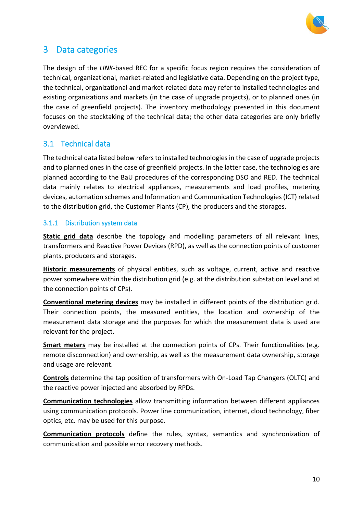

# <span id="page-9-0"></span>3 Data categories

The design of the *LINK*-based REC for a specific focus region requires the consideration of technical, organizational, market-related and legislative data. Depending on the project type, the technical, organizational and market-related data may refer to installed technologies and existing organizations and markets (in the case of upgrade projects), or to planned ones (in the case of greenfield projects). The inventory methodology presented in this document focuses on the stocktaking of the technical data; the other data categories are only briefly overviewed.

### <span id="page-9-1"></span>3.1 Technical data

The technical data listed below refers to installed technologies in the case of upgrade projects and to planned ones in the case of greenfield projects. In the latter case, the technologies are planned according to the BaU procedures of the corresponding DSO and RED. The technical data mainly relates to electrical appliances, measurements and load profiles, metering devices, automation schemes and Information and Communication Technologies (ICT) related to the distribution grid, the Customer Plants (CP), the producers and the storages.

#### <span id="page-9-2"></span>3.1.1 Distribution system data

**Static grid data** describe the topology and modelling parameters of all relevant lines, transformers and Reactive Power Devices (RPD), as well as the connection points of customer plants, producers and storages.

**Historic measurements** of physical entities, such as voltage, current, active and reactive power somewhere within the distribution grid (e.g. at the distribution substation level and at the connection points of CPs).

**Conventional metering devices** may be installed in different points of the distribution grid. Their connection points, the measured entities, the location and ownership of the measurement data storage and the purposes for which the measurement data is used are relevant for the project.

**Smart meters** may be installed at the connection points of CPs. Their functionalities (e.g. remote disconnection) and ownership, as well as the measurement data ownership, storage and usage are relevant.

**Controls** determine the tap position of transformers with On-Load Tap Changers (OLTC) and the reactive power injected and absorbed by RPDs.

**Communication technologies** allow transmitting information between different appliances using communication protocols. Power line communication, internet, cloud technology, fiber optics, etc. may be used for this purpose.

**Communication protocols** define the rules, syntax, semantics and synchronization of communication and possible error recovery methods.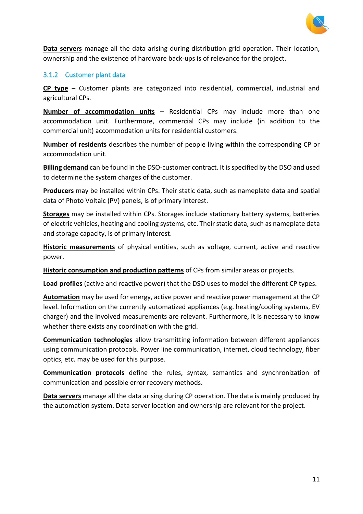

**Data servers** manage all the data arising during distribution grid operation. Their location, ownership and the existence of hardware back-ups is of relevance for the project.

#### <span id="page-10-0"></span>3.1.2 Customer plant data

**CP type** – Customer plants are categorized into residential, commercial, industrial and agricultural CPs.

**Number of accommodation units** – Residential CPs may include more than one accommodation unit. Furthermore, commercial CPs may include (in addition to the commercial unit) accommodation units for residential customers.

**Number of residents** describes the number of people living within the corresponding CP or accommodation unit.

**Billing demand** can be found in the DSO-customer contract. It is specified by the DSO and used to determine the system charges of the customer.

**Producers** may be installed within CPs. Their static data, such as nameplate data and spatial data of Photo Voltaic (PV) panels, is of primary interest.

**Storages** may be installed within CPs. Storages include stationary battery systems, batteries of electric vehicles, heating and cooling systems, etc. Their static data, such as nameplate data and storage capacity, is of primary interest.

**Historic measurements** of physical entities, such as voltage, current, active and reactive power.

**Historic consumption and production patterns** of CPs from similar areas or projects.

**Load profiles** (active and reactive power) that the DSO uses to model the different CP types.

**Automation** may be used for energy, active power and reactive power management at the CP level. Information on the currently automatized appliances (e.g. heating/cooling systems, EV charger) and the involved measurements are relevant. Furthermore, it is necessary to know whether there exists any coordination with the grid.

**Communication technologies** allow transmitting information between different appliances using communication protocols. Power line communication, internet, cloud technology, fiber optics, etc. may be used for this purpose.

**Communication protocols** define the rules, syntax, semantics and synchronization of communication and possible error recovery methods.

<span id="page-10-1"></span>**Data servers** manage all the data arising during CP operation. The data is mainly produced by the automation system. Data server location and ownership are relevant for the project.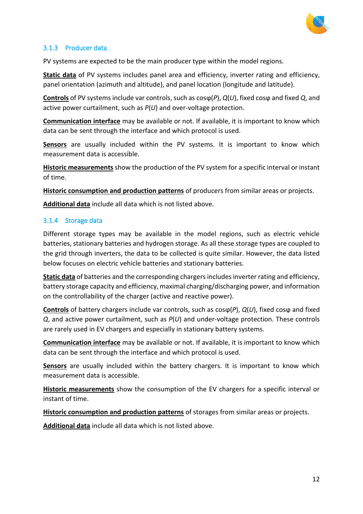

### <span id="page-11-0"></span>3.1.3 Producer data

PV systems are expected to be the main producer type within the model regions.

**Static data** of PV systems includes panel area and efficiency, inverter rating and efficiency, panel orientation (azimuth and altitude), and panel location (longitude and latitude).

**Controls** of PV systems include var controls, such as cosϕ(*P*), *Q*(*U*), fixed cosϕ and fixed *Q*, and active power curtailment, such as *P*(*U*) and over-voltage protection.

**Communication interface** may be available or not. If available, it is important to know which data can be sent through the interface and which protocol is used.

**Sensors** are usually included within the PV systems. It is important to know which measurement data is accessible.

**Historic measurements** show the production of the PV system for a specific interval or instant of time.

**Historic consumption and production patterns** of producers from similar areas or projects.

**Additional data** include all data which is not listed above.

#### <span id="page-11-1"></span>3.1.4 Storage data

Different storage types may be available in the model regions, such as electric vehicle batteries, stationary batteries and hydrogen storage. As all these storage types are coupled to the grid through inverters, the data to be collected is quite similar. However, the data listed below focuses on electric vehicle batteries and stationary batteries.

**Static data** of batteries and the corresponding chargers includes inverter rating and efficiency, battery storage capacity and efficiency, maximal charging/discharging power, and information on the controllability of the charger (active and reactive power).

**Controls** of battery chargers include var controls, such as cosϕ(*P*), *Q*(*U*), fixed cosϕ and fixed *Q*, and active power curtailment, such as *P*(*U*) and under-voltage protection. These controls are rarely used in EV chargers and especially in stationary battery systems.

**Communication interface** may be available or not. If available, it is important to know which data can be sent through the interface and which protocol is used.

**Sensors** are usually included within the battery chargers. It is important to know which measurement data is accessible.

**Historic measurements** show the consumption of the EV chargers for a specific interval or instant of time.

**Historic consumption and production patterns** of storages from similar areas or projects.

**Additional data** include all data which is not listed above.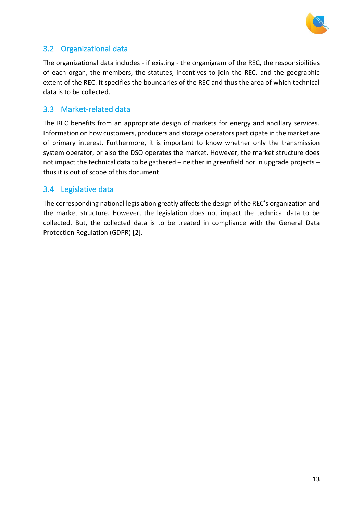

### <span id="page-12-0"></span>3.2 Organizational data

The organizational data includes - if existing - the organigram of the REC, the responsibilities of each organ, the members, the statutes, incentives to join the REC, and the geographic extent of the REC. It specifies the boundaries of the REC and thus the area of which technical data is to be collected.

### <span id="page-12-1"></span>3.3 Market-related data

The REC benefits from an appropriate design of markets for energy and ancillary services. Information on how customers, producers and storage operators participate in the market are of primary interest. Furthermore, it is important to know whether only the transmission system operator, or also the DSO operates the market. However, the market structure does not impact the technical data to be gathered – neither in greenfield nor in upgrade projects – thus it is out of scope of this document.

### <span id="page-12-2"></span>3.4 Legislative data

The corresponding national legislation greatly affects the design of the REC's organization and the market structure. However, the legislation does not impact the technical data to be collected. But, the collected data is to be treated in compliance with the General Data Protection Regulation (GDPR) [2].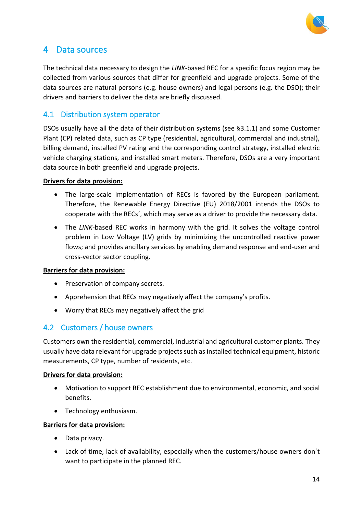

# <span id="page-13-0"></span>4 Data sources

The technical data necessary to design the *LINK*-based REC for a specific focus region may be collected from various sources that differ for greenfield and upgrade projects. Some of the data sources are natural persons (e.g. house owners) and legal persons (e.g. the DSO); their drivers and barriers to deliver the data are briefly discussed.

### <span id="page-13-1"></span>4.1 Distribution system operator

DSOs usually have all the data of their distribution systems (see [§3.1.1\)](#page-9-2) and some Customer Plant (CP) related data, such as CP type (residential, agricultural, commercial and industrial), billing demand, installed PV rating and the corresponding control strategy, installed electric vehicle charging stations, and installed smart meters. Therefore, DSOs are a very important data source in both greenfield and upgrade projects.

#### **Drivers for data provision:**

- The large-scale implementation of RECs is favored by the European parliament. Therefore, the Renewable Energy Directive (EU) 2018/2001 intends the DSOs to cooperate with the RECs´, which may serve as a driver to provide the necessary data.
- The *LINK*-based REC works in harmony with the grid. It solves the voltage control problem in Low Voltage (LV) grids by minimizing the uncontrolled reactive power flows; and provides ancillary services by enabling demand response and end-user and cross-vector sector coupling.

#### **Barriers for data provision:**

- Preservation of company secrets.
- Apprehension that RECs may negatively affect the company's profits.
- Worry that RECs may negatively affect the grid

### <span id="page-13-2"></span>4.2 Customers / house owners

Customers own the residential, commercial, industrial and agricultural customer plants. They usually have data relevant for upgrade projects such as installed technical equipment, historic measurements, CP type, number of residents, etc.

#### **Drivers for data provision:**

- Motivation to support REC establishment due to environmental, economic, and social benefits.
- Technology enthusiasm.

#### **Barriers for data provision:**

- Data privacy.
- Lack of time, lack of availability, especially when the customers/house owners don´t want to participate in the planned REC.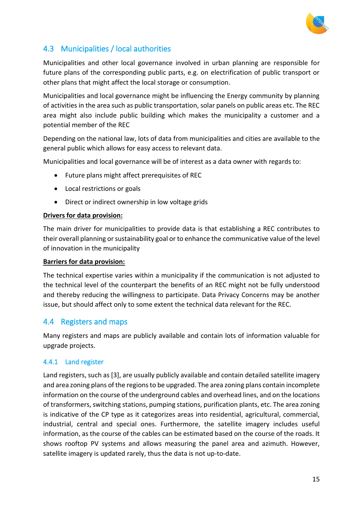

## <span id="page-14-0"></span>4.3 Municipalities / local authorities

Municipalities and other local governance involved in urban planning are responsible for future plans of the corresponding public parts, e.g. on electrification of public transport or other plans that might affect the local storage or consumption.

Municipalities and local governance might be influencing the Energy community by planning of activities in the area such as public transportation, solar panels on public areas etc. The REC area might also include public building which makes the municipality a customer and a potential member of the REC

Depending on the national law, lots of data from municipalities and cities are available to the general public which allows for easy access to relevant data.

Municipalities and local governance will be of interest as a data owner with regards to:

- Future plans might affect prerequisites of REC
- Local restrictions or goals
- Direct or indirect ownership in low voltage grids

#### **Drivers for data provision:**

The main driver for municipalities to provide data is that establishing a REC contributes to their overall planning or sustainability goal or to enhance the communicative value of the level of innovation in the municipality

#### **Barriers for data provision:**

The technical expertise varies within a municipality if the communication is not adjusted to the technical level of the counterpart the benefits of an REC might not be fully understood and thereby reducing the willingness to participate. Data Privacy Concerns may be another issue, but should affect only to some extent the technical data relevant for the REC.

### <span id="page-14-1"></span>4.4 Registers and maps

Many registers and maps are publicly available and contain lots of information valuable for upgrade projects.

#### <span id="page-14-2"></span>4.4.1 Land register

Land registers, such as [3], are usually publicly available and contain detailed satellite imagery and area zoning plans of the regions to be upgraded. The area zoning plans contain incomplete information on the course of the underground cables and overhead lines, and on the locations of transformers, switching stations, pumping stations, purification plants, etc. The area zoning is indicative of the CP type as it categorizes areas into residential, agricultural, commercial, industrial, central and special ones. Furthermore, the satellite imagery includes useful information, as the course of the cables can be estimated based on the course of the roads. It shows rooftop PV systems and allows measuring the panel area and azimuth. However, satellite imagery is updated rarely, thus the data is not up-to-date.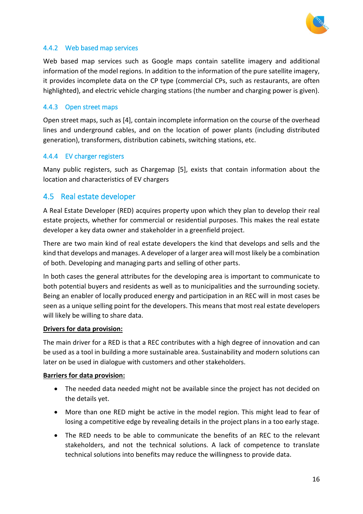

#### <span id="page-15-0"></span>4.4.2 Web based map services

Web based map services such as Google maps contain satellite imagery and additional information of the model regions. In addition to the information of the pure satellite imagery, it provides incomplete data on the CP type (commercial CPs, such as restaurants, are often highlighted), and electric vehicle charging stations (the number and charging power is given).

#### <span id="page-15-1"></span>4.4.3 Open street maps

Open street maps, such as [4], contain incomplete information on the course of the overhead lines and underground cables, and on the location of power plants (including distributed generation), transformers, distribution cabinets, switching stations, etc.

#### <span id="page-15-2"></span>4.4.4 EV charger registers

Many public registers, such as Chargemap [5], exists that contain information about the location and characteristics of EV chargers

### <span id="page-15-3"></span>4.5 Real estate developer

A Real Estate Developer (RED) acquires property upon which they plan to develop their real estate projects, whether for commercial or residential purposes. This makes the real estate developer a key data owner and stakeholder in a greenfield project.

There are two main kind of real estate developers the kind that develops and sells and the kind that develops and manages. A developer of a larger area will most likely be a combination of both. Developing and managing parts and selling of other parts.

In both cases the general attributes for the developing area is important to communicate to both potential buyers and residents as well as to municipalities and the surrounding society. Being an enabler of locally produced energy and participation in an REC will in most cases be seen as a unique selling point for the developers. This means that most real estate developers will likely be willing to share data.

#### **Drivers for data provision:**

The main driver for a RED is that a REC contributes with a high degree of innovation and can be used as a tool in building a more sustainable area. Sustainability and modern solutions can later on be used in dialogue with customers and other stakeholders.

#### **Barriers for data provision:**

- The needed data needed might not be available since the project has not decided on the details yet.
- More than one RED might be active in the model region. This might lead to fear of losing a competitive edge by revealing details in the project plans in a too early stage.
- The RED needs to be able to communicate the benefits of an REC to the relevant stakeholders, and not the technical solutions. A lack of competence to translate technical solutions into benefits may reduce the willingness to provide data.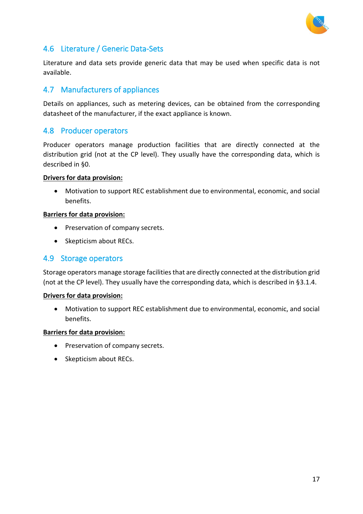

### <span id="page-16-0"></span>4.6 Literature / Generic Data-Sets

Literature and data sets provide generic data that may be used when specific data is not available.

### <span id="page-16-1"></span>4.7 Manufacturers of appliances

Details on appliances, such as metering devices, can be obtained from the corresponding datasheet of the manufacturer, if the exact appliance is known.

#### <span id="page-16-2"></span>4.8 Producer operators

Producer operators manage production facilities that are directly connected at the distribution grid (not at the CP level). They usually have the corresponding data, which is described in [§0.](#page-10-1)

#### **Drivers for data provision:**

• Motivation to support REC establishment due to environmental, economic, and social benefits.

#### **Barriers for data provision:**

- Preservation of company secrets.
- Skepticism about RECs.

### <span id="page-16-3"></span>4.9 Storage operators

Storage operators manage storage facilities that are directly connected at the distribution grid (not at the CP level). They usually have the corresponding data, which is described in [§3.1.4.](#page-11-1)

#### **Drivers for data provision:**

• Motivation to support REC establishment due to environmental, economic, and social benefits.

#### **Barriers for data provision:**

- Preservation of company secrets.
- Skepticism about RECs.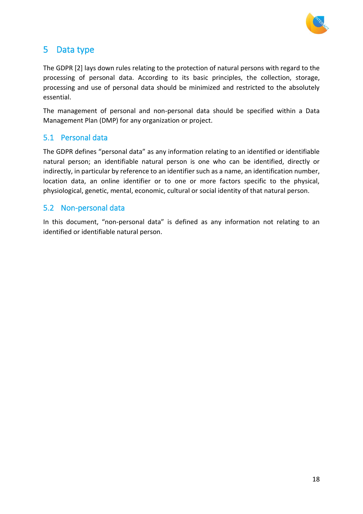

# <span id="page-17-0"></span>5 Data type

The GDPR [2] lays down rules relating to the protection of natural persons with regard to the processing of personal data. According to its basic principles, the collection, storage, processing and use of personal data should be minimized and restricted to the absolutely essential.

The management of personal and non-personal data should be specified within a Data Management Plan (DMP) for any organization or project.

### <span id="page-17-1"></span>5.1 Personal data

The GDPR defines "personal data" as any information relating to an identified or identifiable natural person; an identifiable natural person is one who can be identified, directly or indirectly, in particular by reference to an identifier such as a name, an identification number, location data, an online identifier or to one or more factors specific to the physical, physiological, genetic, mental, economic, cultural or social identity of that natural person.

### <span id="page-17-2"></span>5.2 Non-personal data

In this document, "non-personal data" is defined as any information not relating to an identified or identifiable natural person.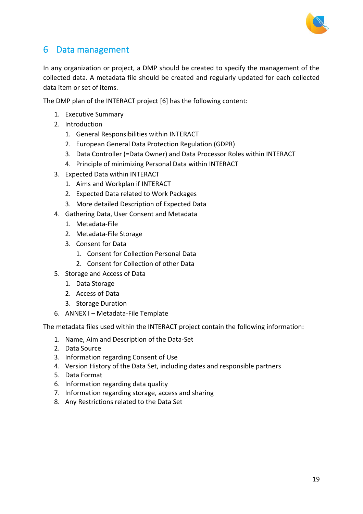

# <span id="page-18-0"></span>6 Data management

In any organization or project, a DMP should be created to specify the management of the collected data. A metadata file should be created and regularly updated for each collected data item or set of items.

The DMP plan of the INTERACT project [6] has the following content:

- 1. Executive Summary
- 2. Introduction
	- 1. General Responsibilities within INTERACT
	- 2. European General Data Protection Regulation (GDPR)
	- 3. Data Controller (=Data Owner) and Data Processor Roles within INTERACT
	- 4. Principle of minimizing Personal Data within INTERACT
- 3. Expected Data within INTERACT
	- 1. Aims and Workplan if INTERACT
	- 2. Expected Data related to Work Packages
	- 3. More detailed Description of Expected Data
- 4. Gathering Data, User Consent and Metadata
	- 1. Metadata-File
	- 2. Metadata-File Storage
	- 3. Consent for Data
		- 1. Consent for Collection Personal Data
		- 2. Consent for Collection of other Data
- 5. Storage and Access of Data
	- 1. Data Storage
	- 2. Access of Data
	- 3. Storage Duration
- 6. ANNEX I Metadata-File Template

The metadata files used within the INTERACT project contain the following information:

- 1. Name, Aim and Description of the Data-Set
- 2. Data Source
- 3. Information regarding Consent of Use
- 4. Version History of the Data Set, including dates and responsible partners
- 5. Data Format
- 6. Information regarding data quality
- 7. Information regarding storage, access and sharing
- 8. Any Restrictions related to the Data Set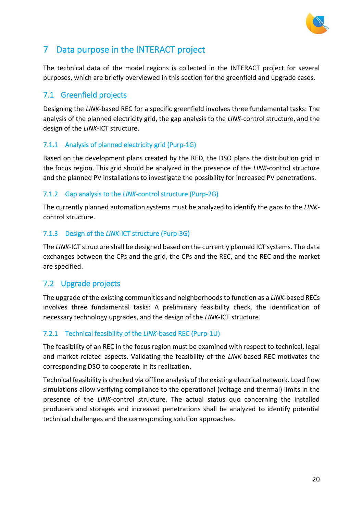

# <span id="page-19-0"></span>7 Data purpose in the INTERACT project

The technical data of the model regions is collected in the INTERACT project for several purposes, which are briefly overviewed in this section for the greenfield and upgrade cases.

### <span id="page-19-1"></span>7.1 Greenfield projects

Designing the *LINK*-based REC for a specific greenfield involves three fundamental tasks: The analysis of the planned electricity grid, the gap analysis to the *LINK*-control structure, and the design of the *LINK*-ICT structure.

### <span id="page-19-2"></span>7.1.1 Analysis of planned electricity grid (Purp-1G)

Based on the development plans created by the RED, the DSO plans the distribution grid in the focus region. This grid should be analyzed in the presence of the *LINK*-control structure and the planned PV installations to investigate the possibility for increased PV penetrations.

### <span id="page-19-3"></span>7.1.2 Gap analysis to the *LINK*-control structure (Purp-2G)

The currently planned automation systems must be analyzed to identify the gaps to the *LINK*control structure.

### <span id="page-19-4"></span>7.1.3 Design of the *LINK*-ICT structure (Purp-3G)

The *LINK*-ICT structure shall be designed based on the currently planned ICT systems. The data exchanges between the CPs and the grid, the CPs and the REC, and the REC and the market are specified.

### <span id="page-19-5"></span>7.2 Upgrade projects

The upgrade of the existing communities and neighborhoods to function as a *LINK*-based RECs involves three fundamental tasks: A preliminary feasibility check, the identification of necessary technology upgrades, and the design of the *LINK*-ICT structure.

### <span id="page-19-6"></span>7.2.1 Technical feasibility of the *LINK*-based REC (Purp-1U)

The feasibility of an REC in the focus region must be examined with respect to technical, legal and market-related aspects. Validating the feasibility of the *LINK*-based REC motivates the corresponding DSO to cooperate in its realization.

Technical feasibility is checked via offline analysis of the existing electrical network. Load flow simulations allow verifying compliance to the operational (voltage and thermal) limits in the presence of the *LINK*-control structure. The actual status quo concerning the installed producers and storages and increased penetrations shall be analyzed to identify potential technical challenges and the corresponding solution approaches.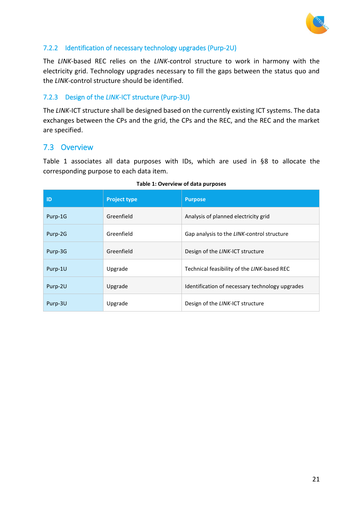

#### <span id="page-20-0"></span>7.2.2 Identification of necessary technology upgrades (Purp-2U)

The *LINK*-based REC relies on the *LINK*-control structure to work in harmony with the electricity grid. Technology upgrades necessary to fill the gaps between the status quo and the *LINK*-control structure should be identified.

#### <span id="page-20-1"></span>7.2.3 Design of the *LINK*-ICT structure (Purp-3U)

The *LINK*-ICT structure shall be designed based on the currently existing ICT systems. The data exchanges between the CPs and the grid, the CPs and the REC, and the REC and the market are specified.

### <span id="page-20-2"></span>7.3 Overview

[Table 1](#page-20-3) associates all data purposes with IDs, which are used in [§8](#page-21-0) to allocate the corresponding purpose to each data item.

<span id="page-20-3"></span>

| ID      | <b>Project type</b> | <b>Purpose</b>                                  |
|---------|---------------------|-------------------------------------------------|
| Purp-1G | Greenfield          | Analysis of planned electricity grid            |
| Purp-2G | Greenfield          | Gap analysis to the LINK-control structure      |
| Purp-3G | Greenfield          | Design of the LINK-ICT structure                |
| Purp-1U | Upgrade             | Technical feasibility of the LINK-based REC     |
| Purp-2U | Upgrade             | Identification of necessary technology upgrades |
| Purp-3U | Upgrade             | Design of the LINK-ICT structure                |

| Table 1: Overview of data purposes |  |
|------------------------------------|--|
|------------------------------------|--|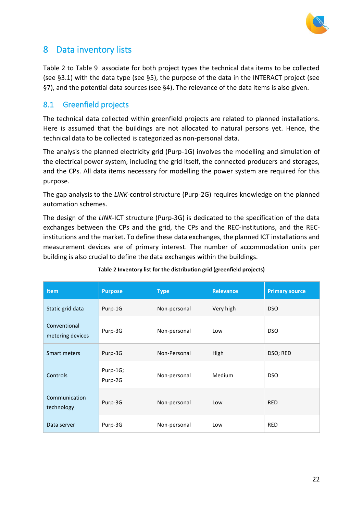

# <span id="page-21-0"></span>8 Data inventory lists

[Table 2](#page-21-2) to [Table 9](#page-26-0) associate for both project types the technical data items to be collected (see [§3.1\)](#page-9-1) with the data type (see [§5\)](#page-17-0), the purpose of the data in the INTERACT project (see [§7\)](#page-19-0), and the potential data sources (see [§4\)](#page-13-0). The relevance of the data items is also given.

### <span id="page-21-1"></span>8.1 Greenfield projects

The technical data collected within greenfield projects are related to planned installations. Here is assumed that the buildings are not allocated to natural persons yet. Hence, the technical data to be collected is categorized as non-personal data.

The analysis the planned electricity grid (Purp-1G) involves the modelling and simulation of the electrical power system, including the grid itself, the connected producers and storages, and the CPs. All data items necessary for modelling the power system are required for this purpose.

The gap analysis to the *LINK*-control structure (Purp-2G) requires knowledge on the planned automation schemes.

The design of the *LINK*-ICT structure (Purp-3G) is dedicated to the specification of the data exchanges between the CPs and the grid, the CPs and the REC-institutions, and the RECinstitutions and the market. To define these data exchanges, the planned ICT installations and measurement devices are of primary interest. The number of accommodation units per building is also crucial to define the data exchanges within the buildings.

<span id="page-21-2"></span>

| <b>Item</b>                      | <b>Purpose</b>      | <b>Type</b>  | <b>Relevance</b> | <b>Primary source</b> |
|----------------------------------|---------------------|--------------|------------------|-----------------------|
| Static grid data                 | Purp-1G             | Non-personal | Very high        | DSO                   |
| Conventional<br>metering devices | Purp-3G             | Non-personal | Low              | DSO                   |
| Smart meters                     | Purp-3G             | Non-Personal | High             | DSO; RED              |
| Controls                         | Purp-1G;<br>Purp-2G | Non-personal | Medium           | <b>DSO</b>            |
| Communication<br>technology      | Purp-3G             | Non-personal | Low              | <b>RED</b>            |
| Data server                      | Purp-3G             | Non-personal | Low              | <b>RED</b>            |

#### **Table 2 Inventory list for the distribution grid (greenfield projects)**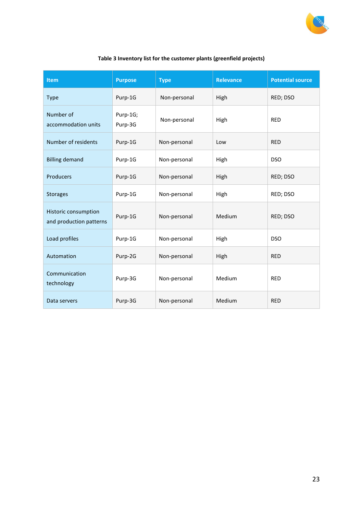

#### **Table 3 Inventory list for the customer plants (greenfield projects)**

| Item                                            | <b>Purpose</b>      | <b>Type</b>  | <b>Relevance</b> | <b>Potential source</b> |
|-------------------------------------------------|---------------------|--------------|------------------|-------------------------|
| <b>Type</b>                                     | Purp-1G             | Non-personal | High             | RED; DSO                |
| Number of<br>accommodation units                | Purp-1G;<br>Purp-3G | Non-personal | High             | <b>RED</b>              |
| Number of residents                             | Purp-1G             | Non-personal | Low              | <b>RED</b>              |
| <b>Billing demand</b>                           | Purp-1G             | Non-personal | High             | <b>DSO</b>              |
| Producers                                       | Purp-1G             | Non-personal | High             | RED; DSO                |
| <b>Storages</b>                                 | Purp-1G             | Non-personal | High             | RED; DSO                |
| Historic consumption<br>and production patterns | Purp-1G             | Non-personal | Medium           | RED; DSO                |
| Load profiles                                   | Purp-1G             | Non-personal | High             | <b>DSO</b>              |
| Automation                                      | Purp-2G             | Non-personal | High             | <b>RED</b>              |
| Communication<br>technology                     | Purp-3G             | Non-personal | Medium           | <b>RED</b>              |
| Data servers                                    | Purp-3G             | Non-personal | Medium           | <b>RED</b>              |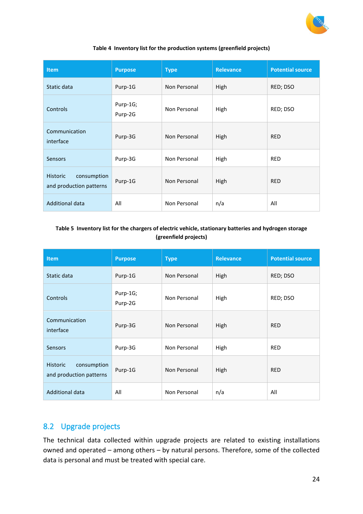

#### **Table 4 Inventory list for the production systems (greenfield projects)**

| <b>Item</b>                                               | <b>Purpose</b>      | <b>Type</b>  | <b>Relevance</b> | <b>Potential source</b> |
|-----------------------------------------------------------|---------------------|--------------|------------------|-------------------------|
| Static data                                               | Purp-1G             | Non Personal | High             | RED; DSO                |
| Controls                                                  | Purp-1G;<br>Purp-2G | Non Personal | High             | RED; DSO                |
| Communication<br>interface                                | Purp-3G             | Non Personal | High             | <b>RED</b>              |
| <b>Sensors</b>                                            | Purp-3G             | Non Personal | High             | <b>RED</b>              |
| consumption<br><b>Historic</b><br>and production patterns | Purp-1G             | Non Personal | High             | <b>RED</b>              |
| <b>Additional data</b>                                    | All                 | Non Personal | n/a              | All                     |

#### **Table 5 Inventory list for the chargers of electric vehicle, stationary batteries and hydrogen storage (greenfield projects)**

| <b>Item</b>                                               | <b>Purpose</b>      | <b>Type</b>  | <b>Relevance</b> | <b>Potential source</b> |
|-----------------------------------------------------------|---------------------|--------------|------------------|-------------------------|
| Static data                                               | Purp-1G             | Non Personal | High             | RED; DSO                |
| Controls                                                  | Purp-1G;<br>Purp-2G | Non Personal | High             | RED; DSO                |
| Communication<br>interface                                | Purp-3G             | Non Personal | High             | <b>RED</b>              |
| <b>Sensors</b>                                            | Purp-3G             | Non Personal | High             | <b>RED</b>              |
| <b>Historic</b><br>consumption<br>and production patterns | Purp-1G             | Non Personal | High             | <b>RED</b>              |
| <b>Additional data</b>                                    | All                 | Non Personal | n/a              | All                     |

### <span id="page-23-0"></span>8.2 Upgrade projects

The technical data collected within upgrade projects are related to existing installations owned and operated – among others – by natural persons. Therefore, some of the collected data is personal and must be treated with special care.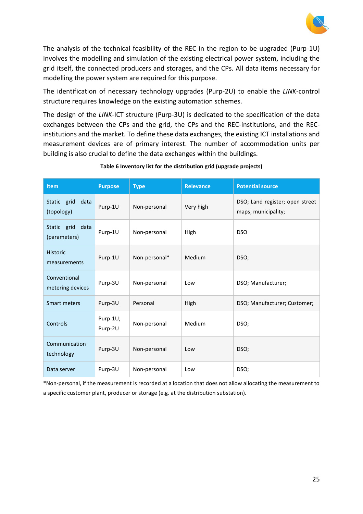

The analysis of the technical feasibility of the REC in the region to be upgraded (Purp-1U) involves the modelling and simulation of the existing electrical power system, including the grid itself, the connected producers and storages, and the CPs. All data items necessary for modelling the power system are required for this purpose.

The identification of necessary technology upgrades (Purp-2U) to enable the *LINK*-control structure requires knowledge on the existing automation schemes.

The design of the *LINK*-ICT structure (Purp-3U) is dedicated to the specification of the data exchanges between the CPs and the grid, the CPs and the REC-institutions, and the RECinstitutions and the market. To define these data exchanges, the existing ICT installations and measurement devices are of primary interest. The number of accommodation units per building is also crucial to define the data exchanges within the buildings.

| <b>Item</b>                       | <b>Purpose</b>      | <b>Type</b>   | <b>Relevance</b> | <b>Potential source</b>                                |
|-----------------------------------|---------------------|---------------|------------------|--------------------------------------------------------|
| Static grid<br>data<br>(topology) | Purp-1U             | Non-personal  | Very high        | DSO; Land register; open street<br>maps; municipality; |
| Static grid data<br>(parameters)  | Purp-1U             | Non-personal  | High             | <b>DSO</b>                                             |
| <b>Historic</b><br>measurements   | Purp-1U             | Non-personal* | Medium           | DSO;                                                   |
| Conventional<br>metering devices  | Purp-3U             | Non-personal  | Low              | DSO; Manufacturer;                                     |
| Smart meters                      | Purp-3U             | Personal      | High             | DSO; Manufacturer; Customer;                           |
| Controls                          | Purp-1U;<br>Purp-2U | Non-personal  | Medium           | DSO;                                                   |
| Communication<br>technology       | Purp-3U             | Non-personal  | Low              | DSO;                                                   |
| Data server                       | Purp-3U             | Non-personal  | Low              | DSO;                                                   |

#### **Table 6 Inventory list for the distribution grid (upgrade projects)**

\*Non-personal, if the measurement is recorded at a location that does not allow allocating the measurement to a specific customer plant, producer or storage (e.g. at the distribution substation).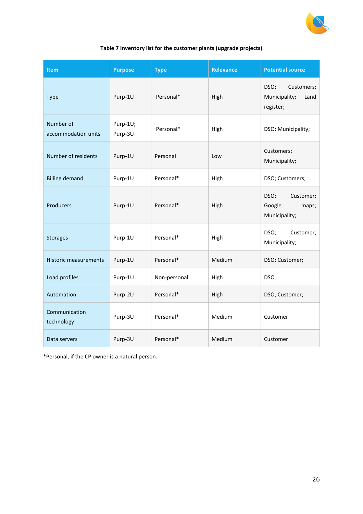

#### **Table 7 Inventory list for the customer plants (upgrade projects)**

| <b>Item</b>                      | <b>Purpose</b>      | <b>Type</b>  | <b>Relevance</b> | <b>Potential source</b>                                  |
|----------------------------------|---------------------|--------------|------------------|----------------------------------------------------------|
| <b>Type</b>                      | Purp-1U             | Personal*    | High             | DSO;<br>Customers;<br>Municipality;<br>Land<br>register; |
| Number of<br>accommodation units | Purp-1U;<br>Purp-3U | Personal*    | High             | DSO; Municipality;                                       |
| Number of residents              | Purp-1U             | Personal     | Low              | Customers;<br>Municipality;                              |
| <b>Billing demand</b>            | Purp-1U             | Personal*    | High             | DSO; Customers;                                          |
| Producers                        | Purp-1U             | Personal*    | High             | DSO;<br>Customer;<br>Google<br>maps;<br>Municipality;    |
| <b>Storages</b>                  | Purp-1U             | Personal*    | High             | DSO;<br>Customer;<br>Municipality;                       |
| <b>Historic measurements</b>     | Purp-1U             | Personal*    | Medium           | DSO; Customer;                                           |
| Load profiles                    | Purp-1U             | Non-personal | High             | <b>DSO</b>                                               |
| Automation                       | Purp-2U             | Personal*    | High             | DSO; Customer;                                           |
| Communication<br>technology      | Purp-3U             | Personal*    | Medium           | Customer                                                 |
| Data servers                     | Purp-3U             | Personal*    | Medium           | Customer                                                 |

\*Personal, if the CP owner is a natural person.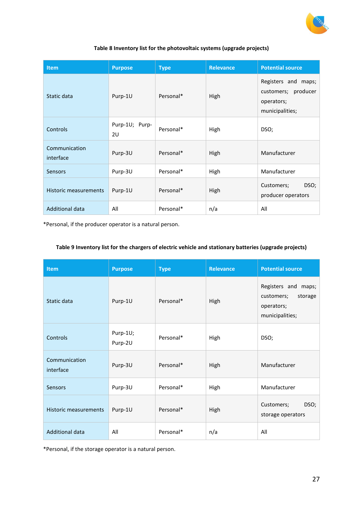

#### **Table 8 Inventory list for the photovoltaic systems (upgrade projects)**

| <b>Item</b>                | <b>Purpose</b>       | <b>Type</b> | <b>Relevance</b> | <b>Potential source</b>                                                     |
|----------------------------|----------------------|-------------|------------------|-----------------------------------------------------------------------------|
| Static data                | Purp-1U              | Personal*   | High             | Registers and maps;<br>customers; producer<br>operators;<br>municipalities; |
| Controls                   | Purp-1U; Purp-<br>2U | Personal*   | High             | DSO;                                                                        |
| Communication<br>interface | Purp-3U              | Personal*   | High             | Manufacturer                                                                |
| <b>Sensors</b>             | Purp-3U              | Personal*   | High             | Manufacturer                                                                |
| Historic measurements      | Purp-1U              | Personal*   | High             | DSO;<br>Customers;<br>producer operators                                    |
| <b>Additional data</b>     | All                  | Personal*   | n/a              | All                                                                         |

\*Personal, if the producer operator is a natural person.

#### <span id="page-26-0"></span>**Table 9 Inventory list for the chargers of electric vehicle and stationary batteries (upgrade projects)**

| Item                       | <b>Purpose</b>      | <b>Type</b> | <b>Relevance</b> | <b>Potential source</b>                                                       |
|----------------------------|---------------------|-------------|------------------|-------------------------------------------------------------------------------|
| Static data                | Purp-1U             | Personal*   | High             | Registers and maps;<br>customers;<br>storage<br>operators;<br>municipalities; |
| Controls                   | Purp-1U;<br>Purp-2U | Personal*   | High             | DSO;                                                                          |
| Communication<br>interface | Purp-3U             | Personal*   | High             | Manufacturer                                                                  |
| Sensors                    | Purp-3U             | Personal*   | High             | Manufacturer                                                                  |
| Historic measurements      | Purp-1U             | Personal*   | High             | DSO;<br>Customers;<br>storage operators                                       |
| <b>Additional data</b>     | All                 | Personal*   | n/a              | All                                                                           |

\*Personal, if the storage operator is a natural person.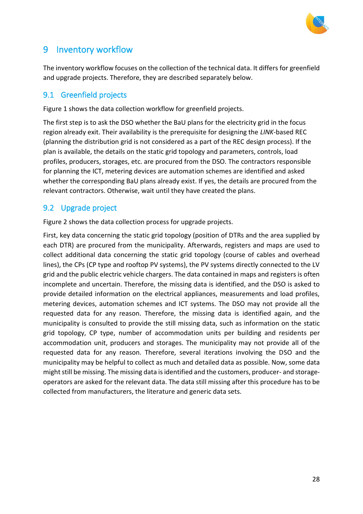

# <span id="page-27-0"></span>9 Inventory workflow

The inventory workflow focuses on the collection of the technical data. It differs for greenfield and upgrade projects. Therefore, they are described separately below.

### <span id="page-27-1"></span>9.1 Greenfield projects

Figure 1 shows the data collection workflow for greenfield projects.

The first step is to ask the DSO whether the BaU plans for the electricity grid in the focus region already exit. Their availability is the prerequisite for designing the *LINK*-based REC (planning the distribution grid is not considered as a part of the REC design process). If the plan is available, the details on the static grid topology and parameters, controls, load profiles, producers, storages, etc. are procured from the DSO. The contractors responsible for planning the ICT, metering devices are automation schemes are identified and asked whether the corresponding BaU plans already exist. If yes, the details are procured from the relevant contractors. Otherwise, wait until they have created the plans.

### <span id="page-27-2"></span>9.2 Upgrade project

Figure 2 shows the data collection process for upgrade projects.

First, key data concerning the static grid topology (position of DTRs and the area supplied by each DTR) are procured from the municipality. Afterwards, registers and maps are used to collect additional data concerning the static grid topology (course of cables and overhead lines), the CPs (CP type and rooftop PV systems), the PV systems directly connected to the LV grid and the public electric vehicle chargers. The data contained in maps and registers is often incomplete and uncertain. Therefore, the missing data is identified, and the DSO is asked to provide detailed information on the electrical appliances, measurements and load profiles, metering devices, automation schemes and ICT systems. The DSO may not provide all the requested data for any reason. Therefore, the missing data is identified again, and the municipality is consulted to provide the still missing data, such as information on the static grid topology, CP type, number of accommodation units per building and residents per accommodation unit, producers and storages. The municipality may not provide all of the requested data for any reason. Therefore, several iterations involving the DSO and the municipality may be helpful to collect as much and detailed data as possible. Now, some data might still be missing. The missing data is identified and the customers, producer- and storageoperators are asked for the relevant data. The data still missing after this procedure has to be collected from manufacturers, the literature and generic data sets.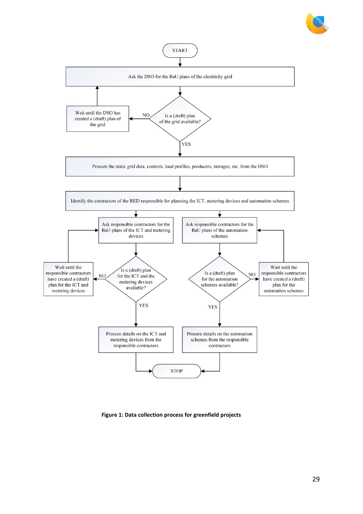



**Figure 1: Data collection process for greenfield projects**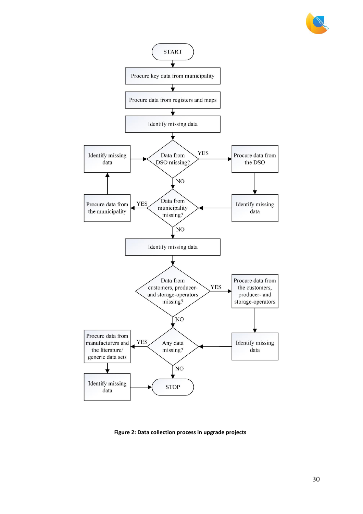



**Figure 2: Data collection process in upgrade projects**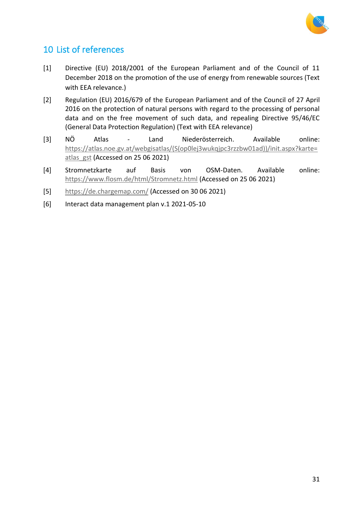

# <span id="page-30-0"></span>10 List of references

- [1] Directive (EU) 2018/2001 of the European Parliament and of the Council of 11 December 2018 on the promotion of the use of energy from renewable sources (Text with EEA relevance.)
- [2] Regulation (EU) 2016/679 of the European Parliament and of the Council of 27 April 2016 on the protection of natural persons with regard to the processing of personal data and on the free movement of such data, and repealing Directive 95/46/EC (General Data Protection Regulation) (Text with EEA relevance)
- [3] NÖ Atlas Land Niederösterreich. Available online: [https://atlas.noe.gv.at/webgisatlas/\(S\(op0lej3wukqjpc3rzzbw01ad\)\)/init.aspx?karte=](https://atlas.noe.gv.at/webgisatlas/(S(op0lej3wukqjpc3rzzbw01ad))/init.aspx?karte=atlas_gst) atlas gst (Accessed on 25 06 2021)
- [4] Stromnetzkarte auf Basis von OSM-Daten. Available online: <https://www.flosm.de/html/Stromnetz.html> (Accessed on 25 06 2021)
- [5] <https://de.chargemap.com/> (Accessed on 30 06 2021)
- [6] Interact data management plan v.1 2021-05-10